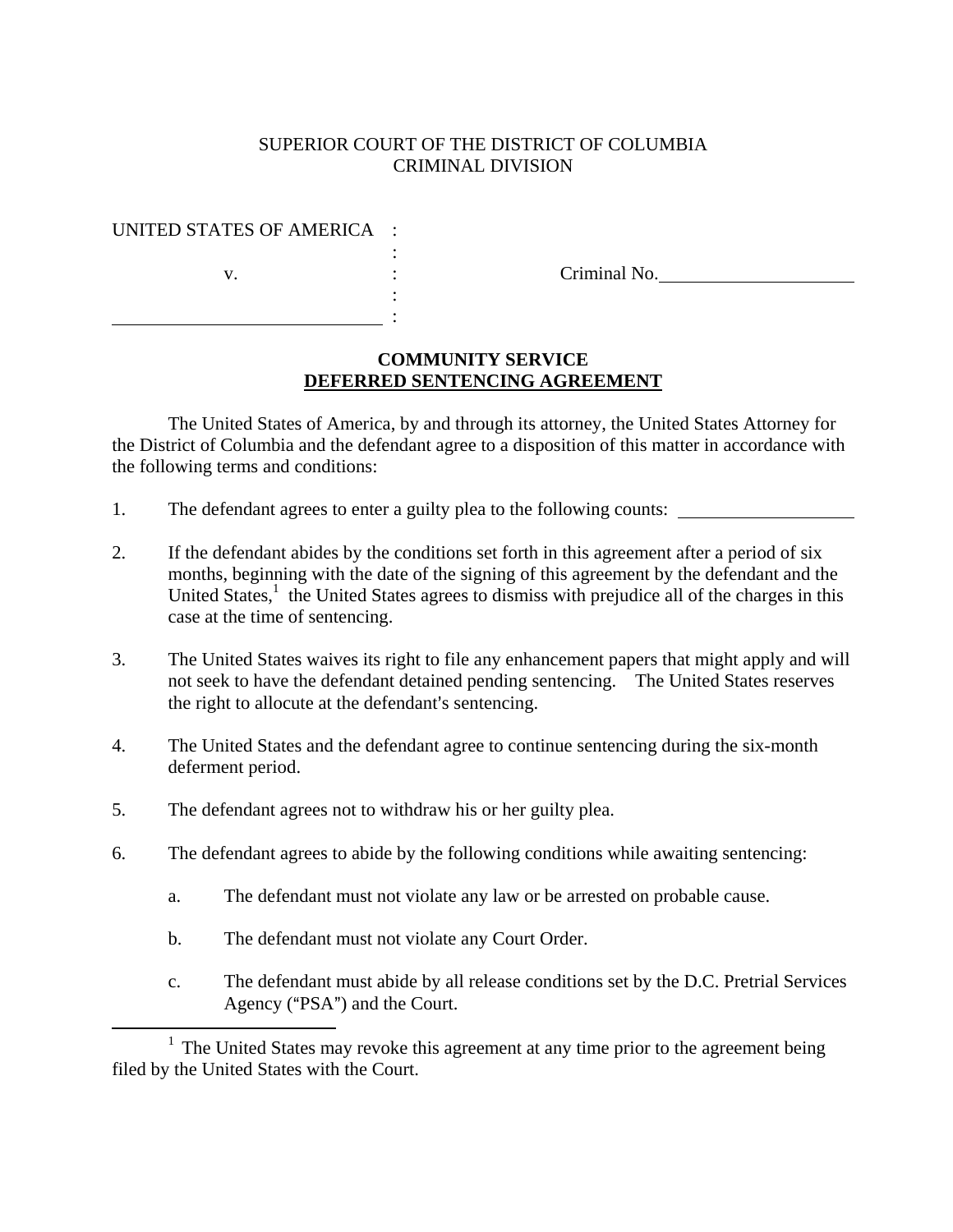### SUPERIOR COURT OF THE DISTRICT OF COLUMBIA CRIMINAL DIVISION

#### UNITED STATES OF AMERICA :

<u>: Alexander Alexander Alexander Alexander Alexander Alexander Alexander Alexander Alexander Alexander Alexander</u>

v. et al. (2011) contract the Criminal No.

## **COMMUNITY SERVICE DEFERRED SENTENCING AGREEMENT**

The United States of America, by and through its attorney, the United States Attorney for the District of Columbia and the defendant agree to a disposition of this matter in accordance with the following terms and conditions:

1. The defendant agrees to enter a guilty plea to the following counts:

:

:

- 2. If the defendant abides by the conditions set forth in this agreement after a period of six months, beginning with the date of the signing of this agreement by the defendant and the United States,<sup>1</sup> the United States agrees to dismiss with prejudice all of the charges in this case at the time of sentencing.
- 3. The United States waives its right to file any enhancement papers that might apply and will not seek to have the defendant detained pending sentencing. The United States reserves the right to allocute at the defendant's sentencing.
- 4. The United States and the defendant agree to continue sentencing during the six-month deferment period.
- 5. The defendant agrees not to withdraw his or her guilty plea.
- 6. The defendant agrees to abide by the following conditions while awaiting sentencing:
	- a. The defendant must not violate any law or be arrested on probable cause.
	- b. The defendant must not violate any Court Order.
	- c. The defendant must abide by all release conditions set by the D.C. Pretrial Services Agency ("PSA") and the Court.

 $\frac{1}{1}$  $1$  The United States may revoke this agreement at any time prior to the agreement being filed by the United States with the Court.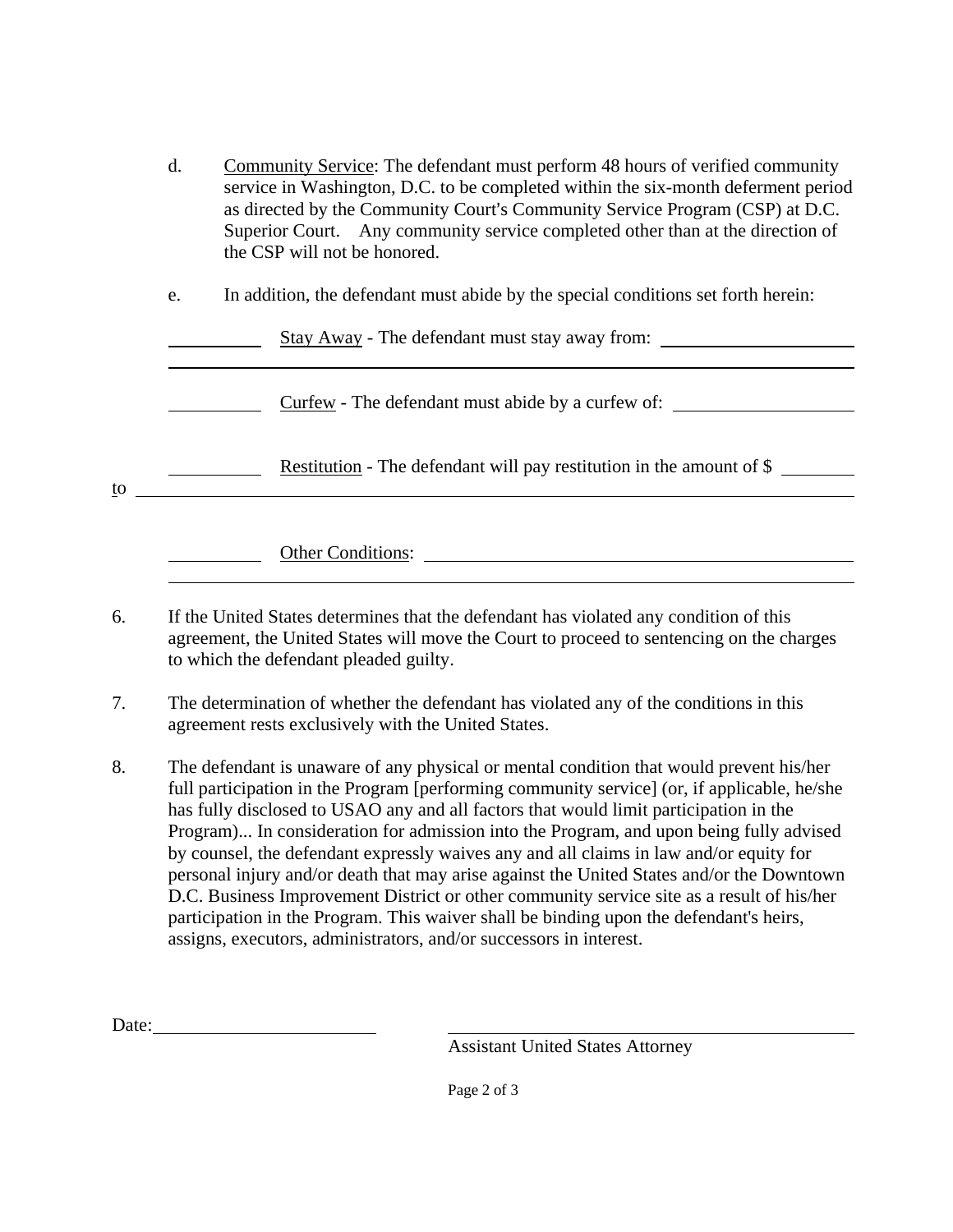| d. | Community Service: The defendant must perform 48 hours of verified community      |
|----|-----------------------------------------------------------------------------------|
|    | service in Washington, D.C. to be completed within the six-month deferment period |
|    | as directed by the Community Court's Community Service Program (CSP) at D.C.      |
|    | Superior Court. Any community service completed other than at the direction of    |
|    | the CSP will not be honored.                                                      |
|    |                                                                                   |
| e. | In addition, the defendant must abide by the special conditions set forth herein: |
|    |                                                                                   |

Stay Away - The defendant must stay away from:

Curfew - The defendant must abide by a curfew of:

Restitution - The defendant will pay restitution in the amount of \$

to

l

l

Other Conditions:

- 6. If the United States determines that the defendant has violated any condition of this agreement, the United States will move the Court to proceed to sentencing on the charges to which the defendant pleaded guilty.
- 7. The determination of whether the defendant has violated any of the conditions in this agreement rests exclusively with the United States.
- 8. The defendant is unaware of any physical or mental condition that would prevent his/her full participation in the Program [performing community service] (or, if applicable, he/she has fully disclosed to USAO any and all factors that would limit participation in the Program)... In consideration for admission into the Program, and upon being fully advised by counsel, the defendant expressly waives any and all claims in law and/or equity for personal injury and/or death that may arise against the United States and/or the Downtown D.C. Business Improvement District or other community service site as a result of his/her participation in the Program. This waiver shall be binding upon the defendant's heirs, assigns, executors, administrators, and/or successors in interest.

Date:

Assistant United States Attorney